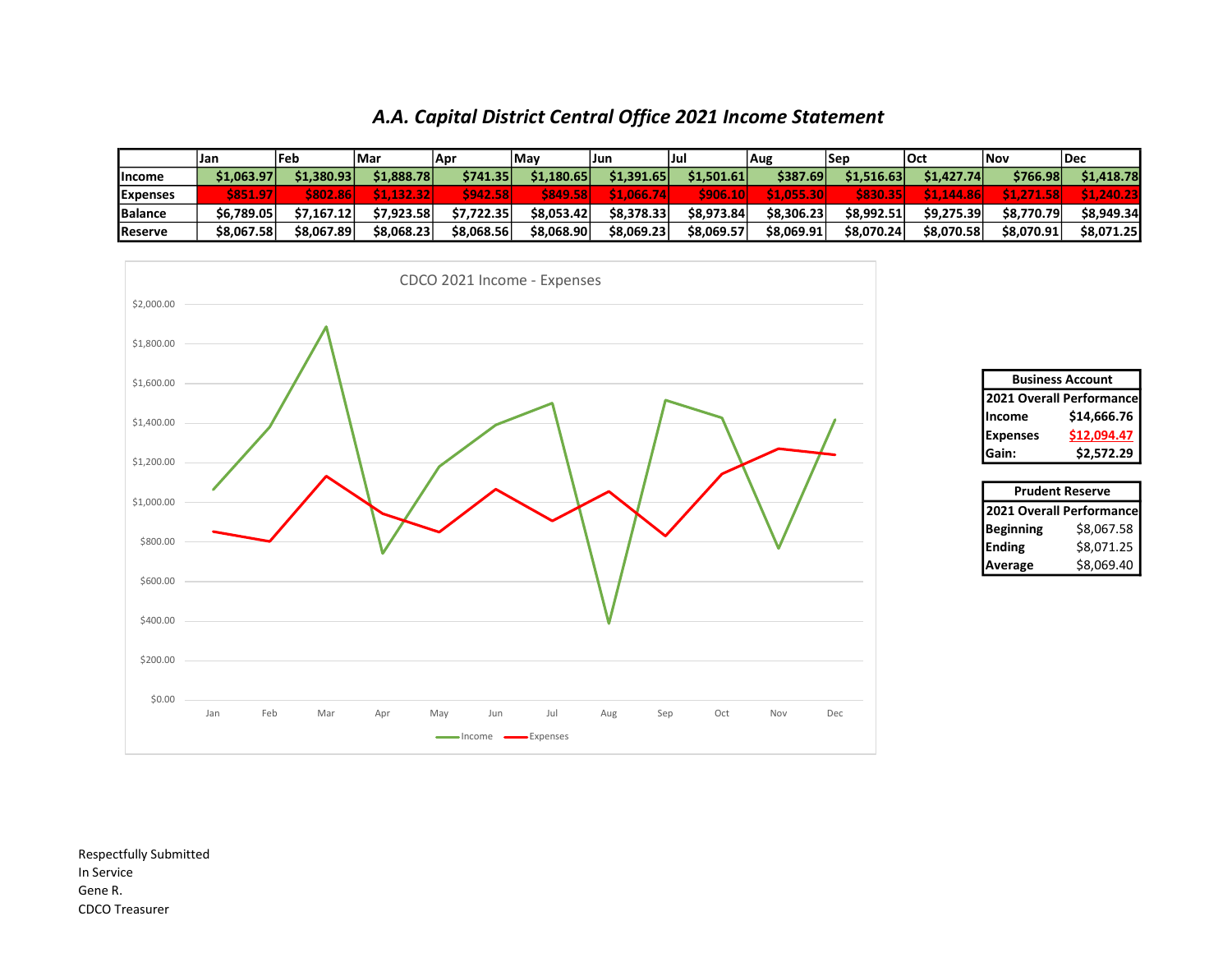## A.A. Capital District Central Office 2021 Income Statement

|                 | <b>Jan</b>           | <b>lFeb</b>  | l Mar      | -Apr       | l Mav          | IJun       | IJul           | Aug        | Sep        | <b>lOct</b> | l Nov      | l Dec            |  |
|-----------------|----------------------|--------------|------------|------------|----------------|------------|----------------|------------|------------|-------------|------------|------------------|--|
| <b>Income</b>   | \$1,063.97           | \$1.380.93   | \$1,888.78 | \$741.35   | \$1.180.65     | \$1.391.65 | \$1,501.61     | \$387.69   | \$1.516.63 | \$1,427.74  | \$766.98   | \$1,418.78       |  |
| <b>Expenses</b> | <b>S851.9</b><br>-97 | כמפ<br>02.86 | 1.132.32   | 942.58     | <b>S849.58</b> | \$1.066.   | $\sqrt{906}$ . | \$1.055.3  |            | \$1.144.    | 158.       | <b>N1.240.2.</b> |  |
| Balance         | \$6,789.05           | 57.167.12    | \$7.923.58 | \$7.722.35 | \$8.053.42     | \$8,378,33 | \$8,973.84     | \$8,306,23 | \$8.992.51 | \$9,275.39  | \$8,770.79 | \$8,949.34       |  |
| Reserve         | \$8,067.58           | \$8.067.89   | \$8.068.23 | \$8.068.56 | \$8.068.90     | \$8.069.23 | \$8.069.57     | \$8,069.91 | \$8.070.24 | \$8,070.58  | \$8.070.91 | \$8.071.25       |  |



| <b>Business Account</b>  |             |  |  |  |  |  |  |  |
|--------------------------|-------------|--|--|--|--|--|--|--|
| 2021 Overall Performance |             |  |  |  |  |  |  |  |
| Income                   | \$14,666.76 |  |  |  |  |  |  |  |
| <b>Expenses</b>          | \$12,094.47 |  |  |  |  |  |  |  |
| Gain:                    | \$2,572.29  |  |  |  |  |  |  |  |

| <b>Prudent Reserve</b>   |            |  |  |  |  |  |  |  |  |
|--------------------------|------------|--|--|--|--|--|--|--|--|
| 2021 Overall Performance |            |  |  |  |  |  |  |  |  |
| Beginning                | \$8,067.58 |  |  |  |  |  |  |  |  |
| Ending                   | \$8,071.25 |  |  |  |  |  |  |  |  |
| Average                  | \$8,069.40 |  |  |  |  |  |  |  |  |

Respectfully Submitted In Service Gene R. CDCO Treasurer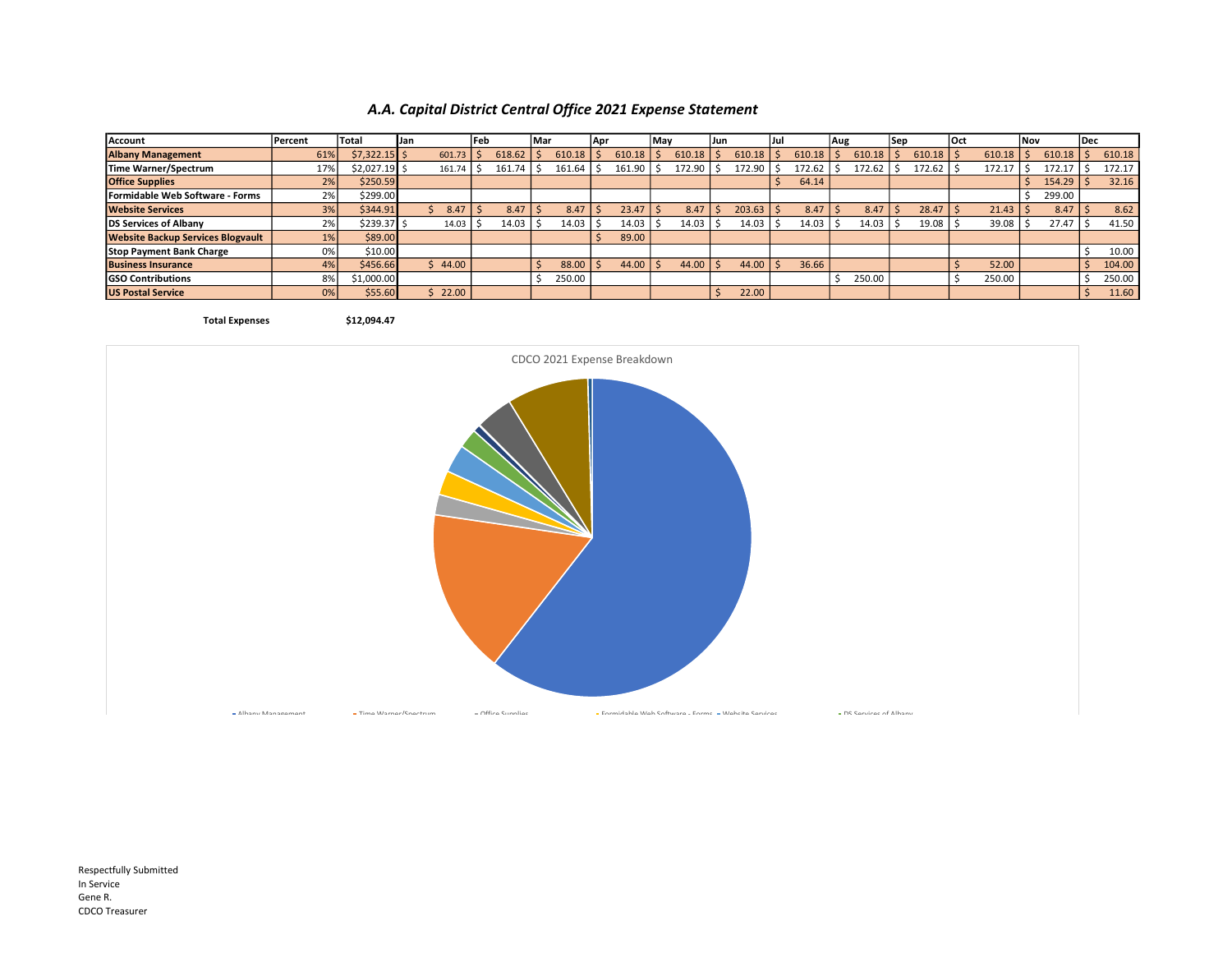## A.A. Capital District Central Office 2021 Expense Statement

| Account                                  | Percent | <b>Total</b>   | IJan   | l Feb |        | lMar   | Apr |        | May |        | lJun |        | IJul |        | Aug |        | l Se p |        | <b>lOct</b> |        | <b>Nov</b> |        | l Dec |        |
|------------------------------------------|---------|----------------|--------|-------|--------|--------|-----|--------|-----|--------|------|--------|------|--------|-----|--------|--------|--------|-------------|--------|------------|--------|-------|--------|
| <b>Albany Management</b>                 | 61%     | $$7,322.15$ \$ | 601.73 |       | 618.62 | 610.18 |     | 610.18 |     | 610.18 |      | 610.18 |      | 610.18 |     | 610.18 |        | 610.18 |             | 610.18 |            | 610.18 |       | 610.18 |
| Time Warner/Spectrum                     | 17%     | $$2,027.19$ \$ | 161.74 |       | 161.74 | 161.64 |     | 161.90 |     | 172.90 |      | 172.90 |      | 172.62 |     | 172.62 |        | 172.62 |             | 172.17 |            | 172.1  |       | 172.17 |
| <b>Office Supplies</b>                   | 2%      | \$250.59       |        |       |        |        |     |        |     |        |      |        |      | 64.14  |     |        |        |        |             |        |            | 154.29 |       | 32.16  |
| Formidable Web Software - Forms          | 2%      | \$299.00       |        |       |        |        |     |        |     |        |      |        |      |        |     |        |        |        |             |        |            | 299.00 |       |        |
| <b>Website Services</b>                  | 3%      | \$344.91       | 8.47   |       | 8.47   | 8.47   |     | 23.47  |     | 8.47   |      | 203.63 |      | 8.47   |     | 8.47   |        | 28.47  |             | 21.43  |            | 8.47   |       | 8.62   |
| DS Services of Albany                    | 2%      | \$239.37 \$    | 14.03  |       | 14.03  | 14.03  |     | 14.03  |     | 14.03  |      | 14.03  |      | 14.03  |     | 14.03  |        | 19.08  |             | 39.08  |            | 27.47  |       | 41.50  |
| <b>Website Backup Services Blogvault</b> | $1\%$   | \$89.00        |        |       |        |        |     | 89.00  |     |        |      |        |      |        |     |        |        |        |             |        |            |        |       |        |
| <b>Stop Payment Bank Charge</b>          | 0%      | \$10.00        |        |       |        |        |     |        |     |        |      |        |      |        |     |        |        |        |             |        |            |        |       | 10.00  |
| <b>Business Insurance</b>                | 4%      | \$456.66       | 44.00  |       |        | 88.00  |     | 44.00  |     | 44.00  |      | 44.00  |      | 36.66  |     |        |        |        |             | 52.00  |            |        |       | 104.00 |
| <b>GSO Contributions</b>                 | 8%      | \$1,000.00     |        |       |        | 250.00 |     |        |     |        |      |        |      |        |     | 250.00 |        |        |             | 250.00 |            |        |       | 250.00 |
| <b>US Postal Service</b>                 | 0%      | \$55.60        | 22.00  |       |        |        |     |        |     |        |      | 22.00  |      |        |     |        |        |        |             |        |            |        |       | 11.60  |

Total Expenses \$12,094.47